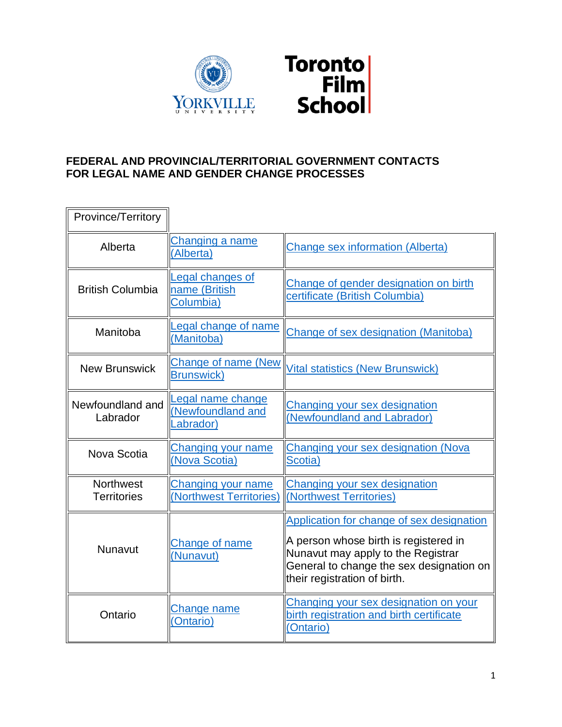

## **FEDERAL AND PROVINCIAL/TERRITORIAL GOVERNMENT CONTACTS FOR LEGAL NAME AND GENDER CHANGE PROCESSES**

| Province/Territory                     |                                                      |                                                                                                                                                                                                      |
|----------------------------------------|------------------------------------------------------|------------------------------------------------------------------------------------------------------------------------------------------------------------------------------------------------------|
| Alberta                                | Changing a name<br>(Alberta)                         | <b>Change sex information (Alberta)</b>                                                                                                                                                              |
| <b>British Columbia</b>                | Legal changes of<br>name (British<br>Columbia)       | Change of gender designation on birth<br>certificate (British Columbia)                                                                                                                              |
| Manitoba                               | Legal change of name<br>(Manitoba)                   | Change of sex designation (Manitoba)                                                                                                                                                                 |
| <b>New Brunswick</b>                   | <b>Change of name (New</b><br><b>Brunswick)</b>      | <b>Vital statistics (New Brunswick)</b>                                                                                                                                                              |
| Newfoundland and<br>Labrador           | Legal name change<br>(Newfoundland and<br>Labrador)  | Changing your sex designation<br>(Newfoundland and Labrador)                                                                                                                                         |
| Nova Scotia                            | Changing your name<br>(Nova Scotia)                  | Changing your sex designation (Nova<br>Scotia)                                                                                                                                                       |
| <b>Northwest</b><br><b>Territories</b> | <b>Changing your name</b><br>(Northwest Territories) | Changing your sex designation<br>(Northwest Territories)                                                                                                                                             |
| Nunavut                                | Change of name<br>Nunavut)                           | Application for change of sex designation<br>A person whose birth is registered in<br>Nunavut may apply to the Registrar<br>General to change the sex designation on<br>their registration of birth. |
| Ontario                                | Change name<br>(Ontario)                             | Changing your sex designation on your<br>birth registration and birth certificate<br>(Ontario)                                                                                                       |